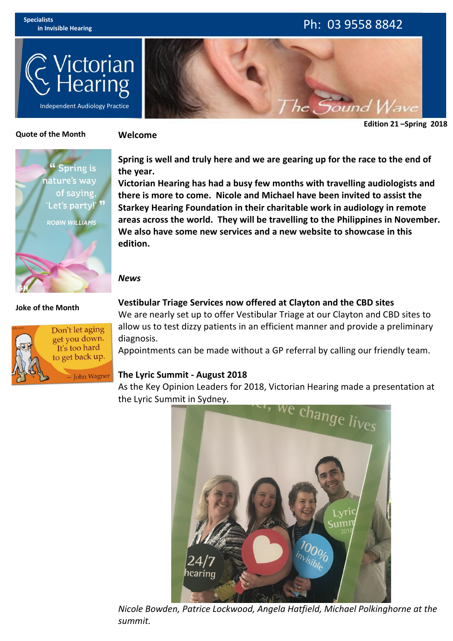# **in Invisible Hearing** Ph: 03 9558 8842

he Sound



**Edition 21 –Spring 2018**

### **Quote of the Month**

#### **Welcome**



**Spring is well and truly here and we are gearing up for the race to the end of the year.**

**Victorian Hearing has had a busy few months with travelling audiologists and there is more to come. Nicole and Michael have been invited to assist the Starkey Hearing Foundation in their charitable work in audiology in remote areas across the world. They will be travelling to the Philippines in November. We also have some new services and a new website to showcase in this edition.**

### *News*

### **Joke of the Month**



**Vestibular Triage Services now offered at Clayton and the CBD sites**

We are nearly set up to offer Vestibular Triage at our Clayton and CBD sites to allow us to test dizzy patients in an efficient manner and provide a preliminary diagnosis.

Appointments can be made without a GP referral by calling our friendly team.

### **The Lyric Summit - August 2018**

As the Key Opinion Leaders for 2018, Victorian Hearing made a presentation at



*Nicole Bowden, Patrice Lockwood, Angela Hatfield, Michael Polkinghorne at the summit.*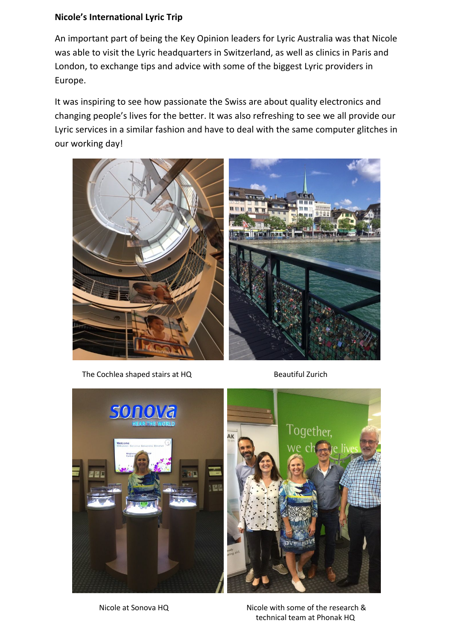## **Nicole's International Lyric Trip**

An important part of being the Key Opinion leaders for Lyric Australia was that Nicole was able to visit the Lyric headquarters in Switzerland, as well as clinics in Paris and London, to exchange tips and advice with some of the biggest Lyric providers in Europe.

It was inspiring to see how passionate the Swiss are about quality electronics and changing people's lives for the better. It was also refreshing to see we all provide our Lyric services in a similar fashion and have to deal with the same computer glitches in our working day!



The Cochlea shaped stairs at HQ Beautiful Zurich



Nicole at Sonova HQ Nicole with some of the research & technical team at Phonak HQ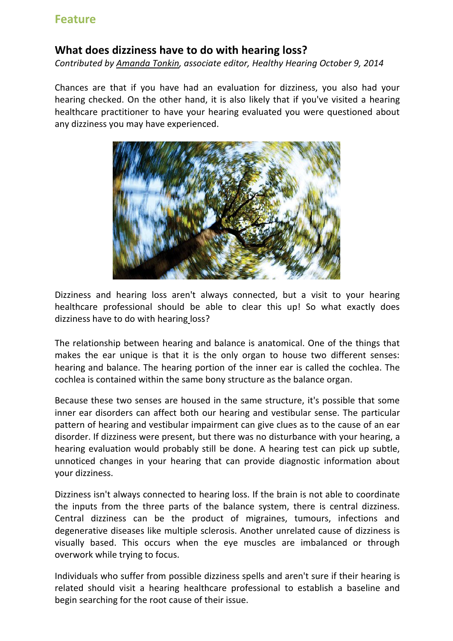# **Feature**

# **What does dizziness have to do with hearing loss?**

*Contributed by [Amanda](https://www.healthyhearing.com/report/31209-What-does-dizziness-have) Tonkin, associate editor, Healthy Hearing October 9, 2014*

Chances are that if you have had an evaluation for dizziness, you also had your hearing checked. On the other hand, it is also likely that if you've visited a hearing healthcare practitioner to have your hearing evaluated you were questioned about any [dizziness](https://www.healthyhearing.com/help/tinnitus/dizziness-and-hearing-loss) you may have experienced.

![](_page_2_Picture_4.jpeg)

Dizziness and hearing loss aren't always connected, but a visit to your hearing healthcare professional should be able to clear this up! So what exactly does dizziness have to do with [hearing](https://www.healthyhearing.com/help/hearing-loss) loss?

The relationship between hearing and balance is anatomical. One of the things that makes the ear unique is that it is the only organ to house two different senses: hearing and balance. The hearing portion of the inner ear is called the cochlea. The cochlea is contained within the same bony structure as the balance organ.

Because these two senses are housed in the same structure, it's possible that some inner ear disorders can affect both our hearing and vestibular sense. The particular pattern of hearing and vestibular impairment can give clues as to the cause of an ear disorder. If dizziness were present, but there was no disturbance with your hearing, a hearing evaluation would probably still be done. A [hearing](https://www.healthyhearing.com/help/hearing-loss/tests) test can pick up subtle, unnoticed changes in your hearing that can provide diagnostic information about your dizziness.

Dizziness isn't always connected to hearing loss. If the brain is not able to coordinate the inputs from the three parts of the balance system, there is central dizziness. Central dizziness can be the product of migraines, tumours, infections and degenerative diseases like multiple sclerosis. Another unrelated cause of dizziness is visually based. This occurs when the eye muscles are imbalanced or through overwork while trying to focus.

Individuals who suffer from possible dizziness spells and aren't sure if their hearing is related should visit a hearing healthcare professional to establish a baseline and begin searching for the root cause of their issue.